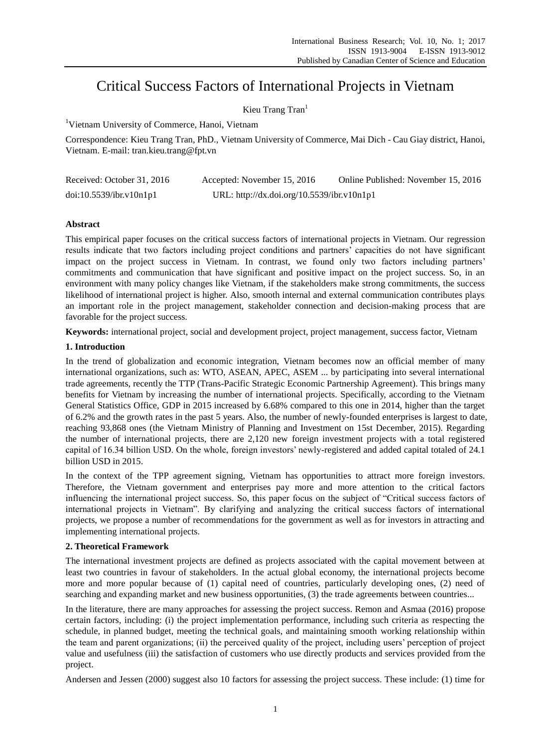# Critical Success Factors of International Projects in Vietnam

Kieu Trang Tran<sup>1</sup>

<sup>1</sup>Vietnam University of Commerce, Hanoi, Vietnam

Correspondence: Kieu Trang Tran, PhD., Vietnam University of Commerce, Mai Dich - Cau Giay district, Hanoi, Vietnam. E-mail: tran.kieu.trang@fpt.vn

| Received: October 31, 2016 | Accepted: November 15, 2016                | Online Published: November 15, 2016 |
|----------------------------|--------------------------------------------|-------------------------------------|
| doi:10.5539/ibr.v10n1p1    | URL: http://dx.doi.org/10.5539/ibr.v10n1p1 |                                     |

# **Abstract**

This empirical paper focuses on the critical success factors of international projects in Vietnam. Our regression results indicate that two factors including project conditions and partners' capacities do not have significant impact on the project success in Vietnam. In contrast, we found only two factors including partners' commitments and communication that have significant and positive impact on the project success. So, in an environment with many policy changes like Vietnam, if the stakeholders make strong commitments, the success likelihood of international project is higher. Also, smooth internal and external communication contributes plays an important role in the project management, stakeholder connection and decision-making process that are favorable for the project success.

**Keywords:** international project, social and development project, project management, success factor, Vietnam

# **1. Introduction**

In the trend of globalization and economic integration, Vietnam becomes now an official member of many international organizations, such as: WTO, ASEAN, APEC, ASEM ... by participating into several international trade agreements, recently the TTP (Trans-Pacific Strategic Economic Partnership Agreement). This brings many benefits for Vietnam by increasing the number of international projects. Specifically, according to the Vietnam General Statistics Office, GDP in 2015 increased by 6.68% compared to this one in 2014, higher than the target of 6.2% and the growth rates in the past 5 years. Also, the number of newly-founded enterprises is largest to date, reaching 93,868 ones (the Vietnam Ministry of Planning and Investment on 15st December, 2015). Regarding the number of international projects, there are 2,120 new foreign investment projects with a total registered capital of 16.34 billion USD. On the whole, foreign investors' newly-registered and added capital totaled of 24.1 billion USD in 2015.

In the context of the TPP agreement signing, Vietnam has opportunities to attract more foreign investors. Therefore, the Vietnam government and enterprises pay more and more attention to the critical factors influencing the international project success. So, this paper focus on the subject of "Critical success factors of international projects in Vietnam". By clarifying and analyzing the critical success factors of international projects, we propose a number of recommendations for the government as well as for investors in attracting and implementing international projects.

# **2. Theoretical Framework**

The international investment projects are defined as projects associated with the capital movement between at least two countries in favour of stakeholders. In the actual global economy, the international projects become more and more popular because of (1) capital need of countries, particularly developing ones, (2) need of searching and expanding market and new business opportunities, (3) the trade agreements between countries...

In the literature, there are many approaches for assessing the project success. Remon and Asmaa (2016) propose certain factors, including: (i) the project implementation performance, including such criteria as respecting the schedule, in planned budget, meeting the technical goals, and maintaining smooth working relationship within the team and parent organizations; (ii) the perceived quality of the project, including users' perception of project value and usefulness (iii) the satisfaction of customers who use directly products and services provided from the project.

Andersen and Jessen (2000) suggest also 10 factors for assessing the project success. These include: (1) time for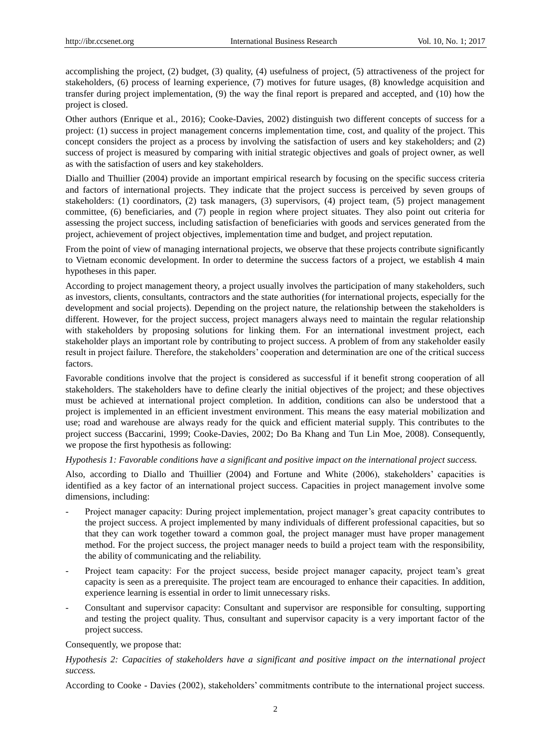accomplishing the project, (2) budget, (3) quality, (4) usefulness of project, (5) attractiveness of the project for stakeholders, (6) process of learning experience, (7) motives for future usages, (8) knowledge acquisition and transfer during project implementation, (9) the way the final report is prepared and accepted, and (10) how the project is closed.

Other authors (Enrique et al., 2016); Cooke-Davies, 2002) distinguish two different concepts of success for a project: (1) success in project management concerns implementation time, cost, and quality of the project. This concept considers the project as a process by involving the satisfaction of users and key stakeholders; and (2) success of project is measured by comparing with initial strategic objectives and goals of project owner, as well as with the satisfaction of users and key stakeholders.

Diallo and Thuillier (2004) provide an important empirical research by focusing on the specific success criteria and factors of international projects. They indicate that the project success is perceived by seven groups of stakeholders: (1) coordinators, (2) task managers, (3) supervisors, (4) project team, (5) project management committee, (6) beneficiaries, and (7) people in region where project situates. They also point out criteria for assessing the project success, including satisfaction of beneficiaries with goods and services generated from the project, achievement of project objectives, implementation time and budget, and project reputation.

From the point of view of managing international projects, we observe that these projects contribute significantly to Vietnam economic development. In order to determine the success factors of a project, we establish 4 main hypotheses in this paper.

According to project management theory, a project usually involves the participation of many stakeholders, such as investors, clients, consultants, contractors and the state authorities (for international projects, especially for the development and social projects). Depending on the project nature, the relationship between the stakeholders is different. However, for the project success, project managers always need to maintain the regular relationship with stakeholders by proposing solutions for linking them. For an international investment project, each stakeholder plays an important role by contributing to project success. A problem of from any stakeholder easily result in project failure. Therefore, the stakeholders' cooperation and determination are one of the critical success factors.

Favorable conditions involve that the project is considered as successful if it benefit strong cooperation of all stakeholders. The stakeholders have to define clearly the initial objectives of the project; and these objectives must be achieved at international project completion. In addition, conditions can also be understood that a project is implemented in an efficient investment environment. This means the easy material mobilization and use; road and warehouse are always ready for the quick and efficient material supply. This contributes to the project success (Baccarini, 1999; Cooke-Davies, 2002; Do Ba Khang and Tun Lin Moe, 2008). Consequently, we propose the first hypothesis as following:

*Hypothesis 1: Favorable conditions have a significant and positive impact on the international project success.*

Also, according to Diallo and Thuillier (2004) and Fortune and White (2006), stakeholders' capacities is identified as a key factor of an international project success. Capacities in project management involve some dimensions, including:

- Project manager capacity: During project implementation, project manager's great capacity contributes to the project success. A project implemented by many individuals of different professional capacities, but so that they can work together toward a common goal, the project manager must have proper management method. For the project success, the project manager needs to build a project team with the responsibility, the ability of communicating and the reliability.
- Project team capacity: For the project success, beside project manager capacity, project team's great capacity is seen as a prerequisite. The project team are encouraged to enhance their capacities. In addition, experience learning is essential in order to limit unnecessary risks.
- Consultant and supervisor capacity: Consultant and supervisor are responsible for consulting, supporting and testing the project quality. Thus, consultant and supervisor capacity is a very important factor of the project success.

#### Consequently, we propose that:

## *Hypothesis 2: Capacities of stakeholders have a significant and positive impact on the international project success.*

According to Cooke - Davies (2002), stakeholders' commitments contribute to the international project success.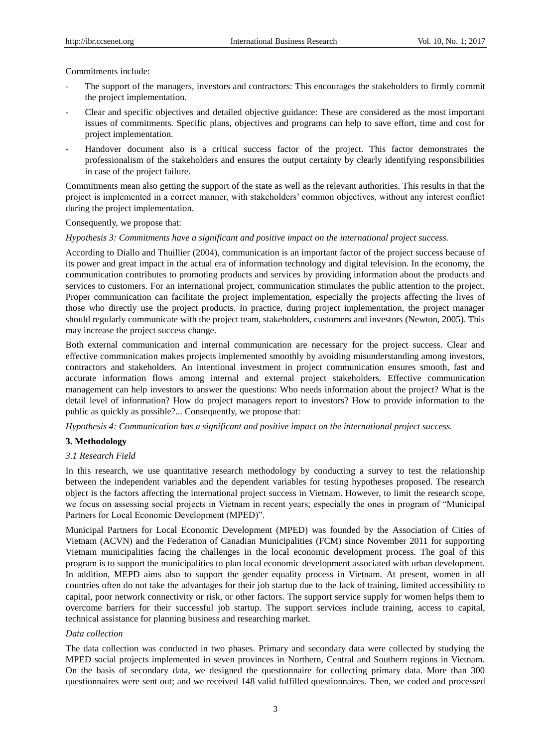Commitments include:

- The support of the managers, investors and contractors: This encourages the stakeholders to firmly commit the project implementation.
- Clear and specific objectives and detailed objective guidance: These are considered as the most important issues of commitments. Specific plans, objectives and programs can help to save effort, time and cost for project implementation.
- Handover document also is a critical success factor of the project. This factor demonstrates the professionalism of the stakeholders and ensures the output certainty by clearly identifying responsibilities in case of the project failure.

Commitments mean also getting the support of the state as well as the relevant authorities. This results in that the project is implemented in a correct manner, with stakeholders' common objectives, without any interest conflict during the project implementation.

Consequently, we propose that:

## *Hypothesis 3: Commitments have a significant and positive impact on the international project success.*

According to Diallo and Thuillier (2004), communication is an important factor of the project success because of its power and great impact in the actual era of information technology and digital television. In the economy, the communication contributes to promoting products and services by providing information about the products and services to customers. For an international project, communication stimulates the public attention to the project. Proper communication can facilitate the project implementation, especially the projects affecting the lives of those who directly use the project products. In practice, during project implementation, the project manager should regularly communicate with the project team, stakeholders, customers and investors (Newton, 2005). This may increase the project success change.

Both external communication and internal communication are necessary for the project success. Clear and effective communication makes projects implemented smoothly by avoiding misunderstanding among investors, contractors and stakeholders. An intentional investment in project communication ensures smooth, fast and accurate information flows among internal and external project stakeholders. Effective communication management can help investors to answer the questions: Who needs information about the project? What is the detail level of information? How do project managers report to investors? How to provide information to the public as quickly as possible?... Consequently, we propose that:

*Hypothesis 4: Communication has a significant and positive impact on the international project success.*

# **3. Methodology**

## *3.1 Research Field*

In this research, we use quantitative research methodology by conducting a survey to test the relationship between the independent variables and the dependent variables for testing hypotheses proposed. The research object is the factors affecting the international project success in Vietnam. However, to limit the research scope, we focus on assessing social projects in Vietnam in recent years; especially the ones in program of "Municipal Partners for Local Economic Development (MPED)".

Municipal Partners for Local Economic Development (MPED) was founded by the Association of Cities of Vietnam (ACVN) and the Federation of Canadian Municipalities (FCM) since November 2011 for supporting Vietnam municipalities facing the challenges in the local economic development process. The goal of this program is to support the municipalities to plan local economic development associated with urban development. In addition, MEPD aims also to support the gender equality process in Vietnam. At present, women in all countries often do not take the advantages for their job startup due to the lack of training, limited accessibility to capital, poor network connectivity or risk, or other factors. The support service supply for women helps them to overcome barriers for their successful job startup. The support services include training, access to capital, technical assistance for planning business and researching market.

#### *Data collection*

The data collection was conducted in two phases. Primary and secondary data were collected by studying the MPED social projects implemented in seven provinces in Northern, Central and Southern regions in Vietnam. On the basis of secondary data, we designed the questionnaire for collecting primary data. More than 300 questionnaires were sent out; and we received 148 valid fulfilled questionnaires. Then, we coded and processed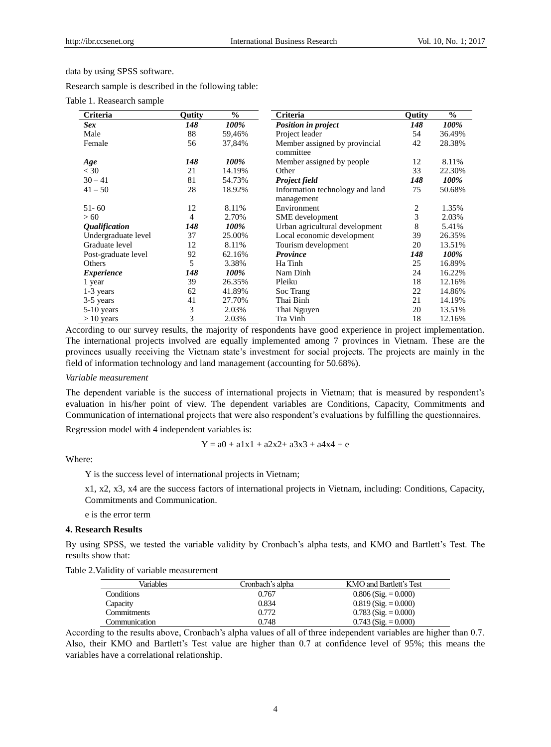data by using SPSS software.

Research sample is described in the following table:

Table 1. Reasearch sample

| Criteria                    | Outity         | $\frac{6}{9}$ | Criteria                                      | Qutity | $\%$        |
|-----------------------------|----------------|---------------|-----------------------------------------------|--------|-------------|
| Sex                         | 148            | 100%          | <b>Position in project</b>                    | 148    | 100%        |
| Male                        | 88             | 59,46%        | Project leader                                | 54     | 36.49%      |
| Female                      | 56             | 37,84%        | Member assigned by provincial<br>committee    | 42     | 28.38%      |
| Age                         | 148            | 100%          | Member assigned by people                     | 12     | 8.11%       |
| $<$ 30                      | 21             | 14.19%        | Other                                         | 33     | 22.30%      |
| $30 - 41$                   | 81             | 54.73%        | <b>Project field</b>                          | 148    | <i>100%</i> |
| $41 - 50$                   | 28             | 18.92%        | Information technology and land<br>management | 75     | 50.68%      |
| $51 - 60$                   | 12             | 8.11%         | Environment                                   | 2      | 1.35%       |
| >60                         | $\overline{4}$ | 2.70%         | SME development                               | 3      | 2.03%       |
| <i><b>Oualification</b></i> | 148            | 100%          | Urban agricultural development                | 8      | 5.41%       |
| Undergraduate level         | 37             | 25.00%        | Local economic development                    | 39     | 26.35%      |
| Graduate level              | 12             | 8.11%         | Tourism development                           | 20     | 13.51%      |
| Post-graduate level         | 92             | 62.16%        | <b>Province</b>                               | 148    | 100%        |
| Others                      | 5              | 3.38%         | Ha Tinh                                       | 25     | 16.89%      |
| <i>Experience</i>           | 148            | 100%          | Nam Dinh                                      | 24     | 16.22%      |
| 1 year                      | 39             | 26.35%        | Pleiku                                        | 18     | 12.16%      |
| 1-3 years                   | 62             | 41.89%        | Soc Trang                                     | 22     | 14.86%      |
| 3-5 years                   | 41             | 27.70%        | Thai Binh                                     | 21     | 14.19%      |
| 5-10 years                  | 3              | 2.03%         | Thai Nguyen                                   | 20     | 13.51%      |
| $> 10$ years                | 3              | 2.03%         | Tra Vinh                                      | 18     | 12.16%      |

According to our survey results, the majority of respondents have good experience in project implementation. The international projects involved are equally implemented among 7 provinces in Vietnam. These are the provinces usually receiving the Vietnam state's investment for social projects. The projects are mainly in the field of information technology and land management (accounting for 50.68%).

#### *Variable measurement*

The dependent variable is the success of international projects in Vietnam; that is measured by respondent's evaluation in his/her point of view. The dependent variables are Conditions, Capacity, Commitments and Communication of international projects that were also respondent's evaluations by fulfilling the questionnaires.

Regression model with 4 independent variables is:

$$
Y = a0 + a1x1 + a2x2 + a3x3 + a4x4 + e
$$

Where:

Y is the success level of international projects in Vietnam;

x1, x2, x3, x4 are the success factors of international projects in Vietnam, including: Conditions, Capacity, Commitments and Communication.

e is the error term

## **4. Research Results**

By using SPSS, we tested the variable validity by Cronbach's alpha tests, and KMO and Bartlett's Test. The results show that:

| Table 2. Validity of variable measurement |  |  |  |
|-------------------------------------------|--|--|--|
|-------------------------------------------|--|--|--|

| Variables         | Cronbach's alpha | KMO and Bartlett's Test |
|-------------------|------------------|-------------------------|
| <b>Conditions</b> | 0.767            | $0.806$ (Sig. = 0.000)  |
| Capacity          | 0.834            | $0.819$ (Sig. = 0.000)  |
| Commitments       | 0.772            | $0.783$ (Sig. = 0.000)  |
| Communication     | 0.748            | $0.743$ (Sig. = 0.000)  |

According to the results above, Cronbach's alpha values of all of three independent variables are higher than 0.7. Also, their KMO and Bartlett's Test value are higher than 0.7 at confidence level of 95%; this means the variables have a correlational relationship.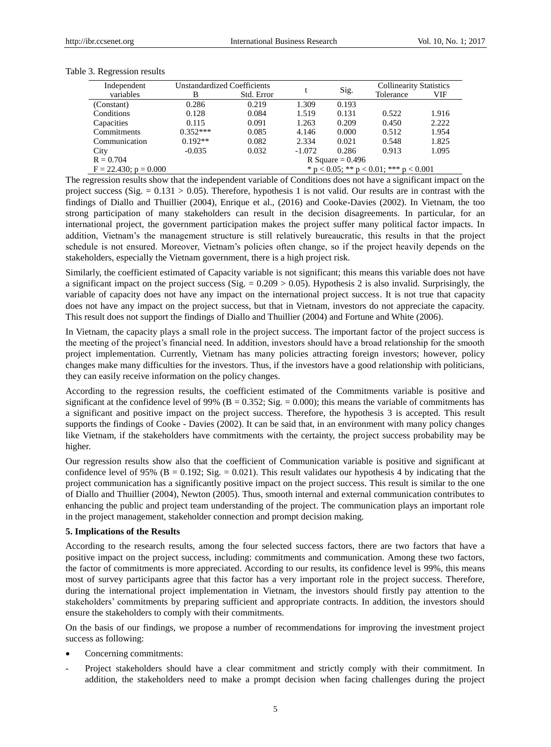| Independent                | <b>Unstandardized Coefficients</b>             |            |          |       | <b>Collinearity Statistics</b> |       |  |
|----------------------------|------------------------------------------------|------------|----------|-------|--------------------------------|-------|--|
| variables                  | B                                              | Std. Error | Sig.     |       | Tolerance                      | VIF   |  |
| (Constant)                 | 0.286                                          | 0.219      | 1.309    | 0.193 |                                |       |  |
| Conditions                 | 0.128                                          | 0.084      | 1.519    | 0.131 | 0.522                          | 1.916 |  |
| Capacities                 | 0.115                                          | 0.091      | 1.263    | 0.209 | 0.450                          | 2.222 |  |
| Commitments                | $0.352***$                                     | 0.085      | 4.146    | 0.000 | 0.512                          | 1.954 |  |
| Communication              | $0.192**$                                      | 0.082      | 2.334    | 0.021 | 0.548                          | 1.825 |  |
| City                       | $-0.035$                                       | 0.032      | $-1.072$ | 0.286 | 0.913                          | 1.095 |  |
| $R = 0.704$                | R Square = $0.496$                             |            |          |       |                                |       |  |
| $F = 22.430$ ; $p = 0.000$ | * $p < 0.05$ ; ** $p < 0.01$ ; *** $p < 0.001$ |            |          |       |                                |       |  |

Table 3. Regression results

The regression results show that the independent variable of Conditions does not have a significant impact on the project success (Sig.  $= 0.131 > 0.05$ ). Therefore, hypothesis 1 is not valid. Our results are in contrast with the findings of Diallo and Thuillier (2004), Enrique et al., (2016) and Cooke-Davies (2002). In Vietnam, the too strong participation of many stakeholders can result in the decision disagreements. In particular, for an international project, the government participation makes the project suffer many political factor impacts. In addition, Vietnam's the management structure is still relatively bureaucratic, this results in that the project schedule is not ensured. Moreover, Vietnam's policies often change, so if the project heavily depends on the stakeholders, especially the Vietnam government, there is a high project risk.

Similarly, the coefficient estimated of Capacity variable is not significant; this means this variable does not have a significant impact on the project success (Sig.  $= 0.209 > 0.05$ ). Hypothesis 2 is also invalid. Surprisingly, the variable of capacity does not have any impact on the international project success. It is not true that capacity does not have any impact on the project success, but that in Vietnam, investors do not appreciate the capacity. This result does not support the findings of Diallo and Thuillier (2004) and Fortune and White (2006).

In Vietnam, the capacity plays a small role in the project success. The important factor of the project success is the meeting of the project's financial need. In addition, investors should have a broad relationship for the smooth project implementation. Currently, Vietnam has many policies attracting foreign investors; however, policy changes make many difficulties for the investors. Thus, if the investors have a good relationship with politicians, they can easily receive information on the policy changes.

According to the regression results, the coefficient estimated of the Commitments variable is positive and significant at the confidence level of 99% ( $B = 0.352$ ; Sig. = 0.000); this means the variable of commitments has a significant and positive impact on the project success. Therefore, the hypothesis 3 is accepted. This result supports the findings of Cooke - Davies (2002). It can be said that, in an environment with many policy changes like Vietnam, if the stakeholders have commitments with the certainty, the project success probability may be higher.

Our regression results show also that the coefficient of Communication variable is positive and significant at confidence level of 95% ( $B = 0.192$ ; Sig. = 0.021). This result validates our hypothesis 4 by indicating that the project communication has a significantly positive impact on the project success. This result is similar to the one of Diallo and Thuillier (2004), Newton (2005). Thus, smooth internal and external communication contributes to enhancing the public and project team understanding of the project. The communication plays an important role in the project management, stakeholder connection and prompt decision making.

## **5. Implications of the Results**

According to the research results, among the four selected success factors, there are two factors that have a positive impact on the project success, including: commitments and communication. Among these two factors, the factor of commitments is more appreciated. According to our results, its confidence level is 99%, this means most of survey participants agree that this factor has a very important role in the project success. Therefore, during the international project implementation in Vietnam, the investors should firstly pay attention to the stakeholders' commitments by preparing sufficient and appropriate contracts. In addition, the investors should ensure the stakeholders to comply with their commitments.

On the basis of our findings, we propose a number of recommendations for improving the investment project success as following:

- Concerning commitments:
- Project stakeholders should have a clear commitment and strictly comply with their commitment. In addition, the stakeholders need to make a prompt decision when facing challenges during the project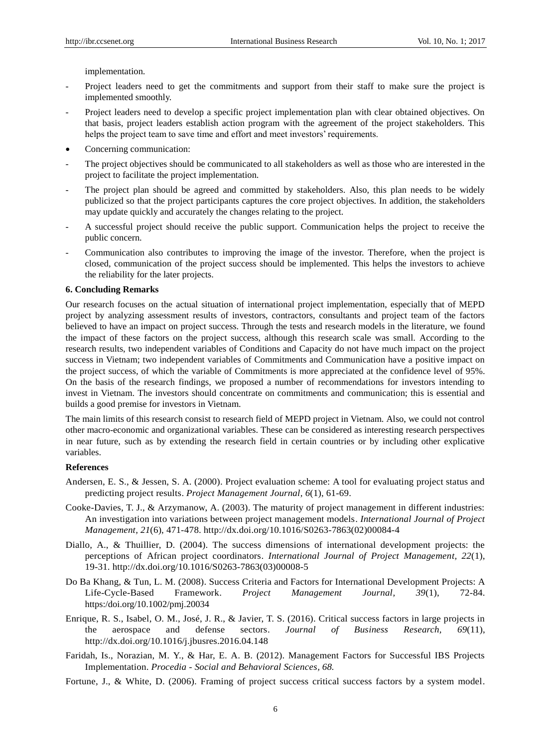implementation.

- Project leaders need to get the commitments and support from their staff to make sure the project is implemented smoothly.
- Project leaders need to develop a specific project implementation plan with clear obtained objectives. On that basis, project leaders establish action program with the agreement of the project stakeholders. This helps the project team to save time and effort and meet investors' requirements.
- Concerning communication:
- The project objectives should be communicated to all stakeholders as well as those who are interested in the project to facilitate the project implementation.
- The project plan should be agreed and committed by stakeholders. Also, this plan needs to be widely publicized so that the project participants captures the core project objectives. In addition, the stakeholders may update quickly and accurately the changes relating to the project.
- A successful project should receive the public support. Communication helps the project to receive the public concern.
- Communication also contributes to improving the image of the investor. Therefore, when the project is closed, communication of the project success should be implemented. This helps the investors to achieve the reliability for the later projects.

## **6. Concluding Remarks**

Our research focuses on the actual situation of international project implementation, especially that of MEPD project by analyzing assessment results of investors, contractors, consultants and project team of the factors believed to have an impact on project success. Through the tests and research models in the literature, we found the impact of these factors on the project success, although this research scale was small. According to the research results, two independent variables of Conditions and Capacity do not have much impact on the project success in Vietnam; two independent variables of Commitments and Communication have a positive impact on the project success, of which the variable of Commitments is more appreciated at the confidence level of 95%. On the basis of the research findings, we proposed a number of recommendations for investors intending to invest in Vietnam. The investors should concentrate on commitments and communication; this is essential and builds a good premise for investors in Vietnam.

The main limits of this research consist to research field of MEPD project in Vietnam. Also, we could not control other macro-economic and organizational variables. These can be considered as interesting research perspectives in near future, such as by extending the research field in certain countries or by including other explicative variables.

## **References**

- Andersen, E. S., & Jessen, S. A. (2000). Project evaluation scheme: A tool for evaluating project status and predicting project results. *Project Management Journal, 6*(1), 61-69.
- Cooke-Davies, T. J., & Arzymanow, A. (2003). The maturity of project management in different industries: An investigation into variations between project management models. *International Journal of Project Management, 21*(6), 471-478. http://dx.doi.org/10.1016/S0263-7863(02)00084-4
- Diallo, A., & Thuillier, D. (2004). The success dimensions of international development projects: the perceptions of African project coordinators. *International Journal of Project Management, 22*(1), 19-31. http://dx.doi.org/10.1016/S0263-7863(03)00008-5
- Do Ba Khang, & Tun, L. M. (2008). Success Criteria and Factors for International Development Projects: A Life-Cycle-Based Framework. *Project Management Journal, 39*(1), 72-84. [https:/doi.org/10.1002/pmj.20034](https://doi.org/10.1002/pmj.20034)
- Enrique, R. S., Isabel, O. M., José, J. R., & Javier, T. S. (2016). Critical success factors in large projects in the aerospace and defense sectors. *Journal of Business Research, 69*(11), http://dx.doi.org/10.1016/j.jbusres.2016.04.148
- Faridah, Is., Norazian, M. Y., & Har, E. A. B. (2012). Management Factors for Successful IBS Projects Implementation. *Procedia - Social and Behavioral Sciences, 68.*
- Fortune, J., & White, D. (2006). Framing of project success critical success factors by a system model.